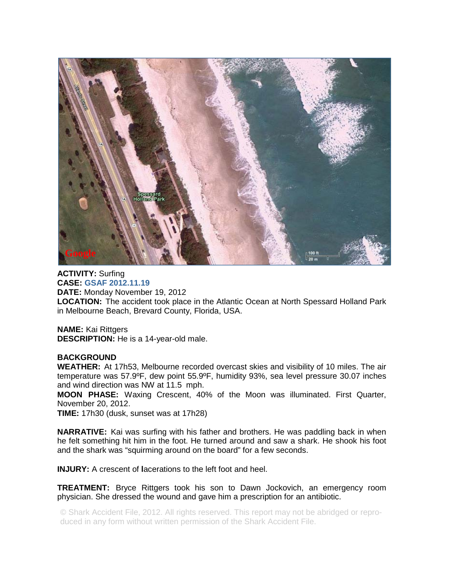

**ACTIVITY:** Surfing **CASE: GSAF 2012.11.19 DATE:** Monday November 19, 2012 **LOCATION:** The accident took place in the Atlantic Ocean at North Spessard Holland Park in Melbourne Beach, Brevard County, Florida, USA.

**NAME:** Kai Rittgers **DESCRIPTION:** He is a 14-year-old male.

## **BACKGROUND**

**WEATHER:** At 17h53, Melbourne recorded overcast skies and visibility of 10 miles. The air temperature was 57.9ºF, dew point 55.9ºF, humidity 93%, sea level pressure 30.07 inches and wind direction was NW at 11.5 mph.

**MOON PHASE:** Waxing Crescent, 40% of the Moon was illuminated. First Quarter, November 20, 2012.

**TIME:** 17h30 (dusk, sunset was at 17h28)

**NARRATIVE:** Kai was surfing with his father and brothers. He was paddling back in when he felt something hit him in the foot. He turned around and saw a shark. He shook his foot and the shark was "squirming around on the board" for a few seconds.

**INJURY:** A crescent of **l**acerations to the left foot and heel.

**TREATMENT:** Bryce Rittgers took his son to Dawn Jockovich, an emergency room physician. She dressed the wound and gave him a prescription for an antibiotic.

© Shark Accident File, 2012. All rights reserved. This report may not be abridged or reproduced in any form without written permission of the Shark Accident File.